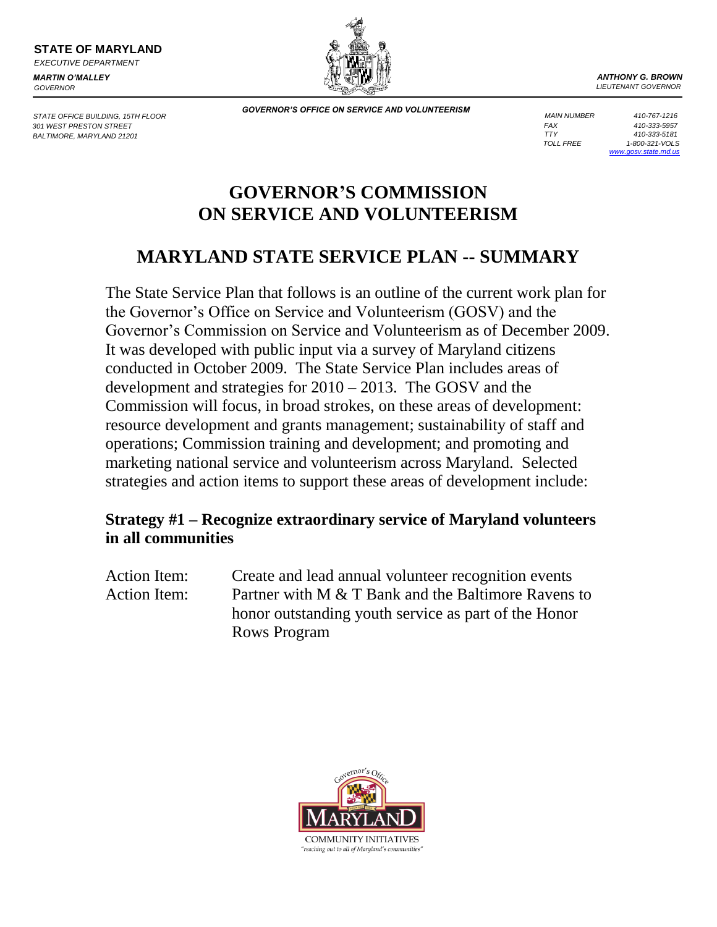**STATE OF MARYLAND** *EXECUTIVE DEPARTMENT*

*MARTIN O'MALLEY GOVERNOR*

STATE OFFICE BUILDING, 15TH FLOOR *301 WEST PRESTON STREET BALTIMORE, MARYLAND 21201*

*ANTHONY G. BROWN LIEUTENANT GOVERNOR*

*GOVERNOR'S OFFICE ON SERVICE AND VOLUNTEERISM*

*FAX 410-333-5957 MAIN NUMBER 410-767-1216 TTY 410-333-5181 TOLL FREE 1-800-321-VOLS [www.gosv.state.md.us](http://www.gosv.state.md.us/)*

# **GOVERNOR'S COMMISSION ON SERVICE AND VOLUNTEERISM**

## **MARYLAND STATE SERVICE PLAN -- SUMMARY**

The State Service Plan that follows is an outline of the current work plan for the Governor's Office on Service and Volunteerism (GOSV) and the Governor's Commission on Service and Volunteerism as of December 2009. It was developed with public input via a survey of Maryland citizens conducted in October 2009. The State Service Plan includes areas of development and strategies for 2010 – 2013. The GOSV and the Commission will focus, in broad strokes, on these areas of development: resource development and grants management; sustainability of staff and operations; Commission training and development; and promoting and marketing national service and volunteerism across Maryland. Selected strategies and action items to support these areas of development include:

### **Strategy #1 – Recognize extraordinary service of Maryland volunteers in all communities**

Action Item: Create and lead annual volunteer recognition events Action Item: Partner with M & T Bank and the Baltimore Ravens to honor outstanding youth service as part of the Honor Rows Program